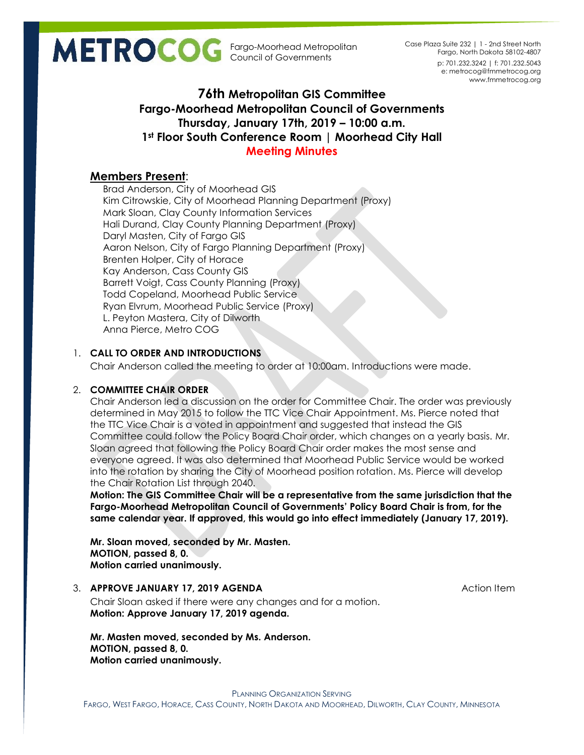Fargo-Moorhead Metropolitan Council of Governments

p: 701.232.3242 | f: 701.232.5043 e: metrocog@fmmetrocog.org www.fmmetrocog.org Case Plaza Suite 232 | 1 - 2nd Street North Fargo, North Dakota 58102-4807

# **76th Metropolitan GIS Committee Fargo-Moorhead Metropolitan Council of Governments Thursday, January 17th, 2019 – 10:00 a.m. 1st Floor South Conference Room | Moorhead City Hall Meeting Minutes**

# **Members Present**:

Brad Anderson, City of Moorhead GIS Kim Citrowskie, City of Moorhead Planning Department (Proxy) Mark Sloan, Clay County Information Services Hali Durand, Clay County Planning Department (Proxy) Daryl Masten, City of Fargo GIS Aaron Nelson, City of Fargo Planning Department (Proxy) Brenten Holper, City of Horace Kay Anderson, Cass County GIS Barrett Voigt, Cass County Planning (Proxy) Todd Copeland, Moorhead Public Service Ryan Elvrum, Moorhead Public Service (Proxy) L. Peyton Mastera, City of Dilworth Anna Pierce, Metro COG

# 1. **CALL TO ORDER AND INTRODUCTIONS**

Chair Anderson called the meeting to order at 10:00am. Introductions were made.

## 2. **COMMITTEE CHAIR ORDER**

Chair Anderson led a discussion on the order for Committee Chair. The order was previously determined in May 2015 to follow the TTC Vice Chair Appointment. Ms. Pierce noted that the TTC Vice Chair is a voted in appointment and suggested that instead the GIS Committee could follow the Policy Board Chair order, which changes on a yearly basis. Mr. Sloan agreed that following the Policy Board Chair order makes the most sense and everyone agreed. It was also determined that Moorhead Public Service would be worked into the rotation by sharing the City of Moorhead position rotation. Ms. Pierce will develop the Chair Rotation List through 2040.

**Motion: The GIS Committee Chair will be a representative from the same jurisdiction that the Fargo-Moorhead Metropolitan Council of Governments' Policy Board Chair is from, for the same calendar year. If approved, this would go into effect immediately (January 17, 2019).**

**Mr. Sloan moved, seconded by Mr. Masten. MOTION, passed 8, 0. Motion carried unanimously.**

#### 3. **APPROVE JANUARY 17, 2019 AGENDA** And **Action Item** Action Item

Chair Sloan asked if there were any changes and for a motion. **Motion: Approve January 17, 2019 agenda.**

**Mr. Masten moved, seconded by Ms. Anderson. MOTION, passed 8, 0. Motion carried unanimously.**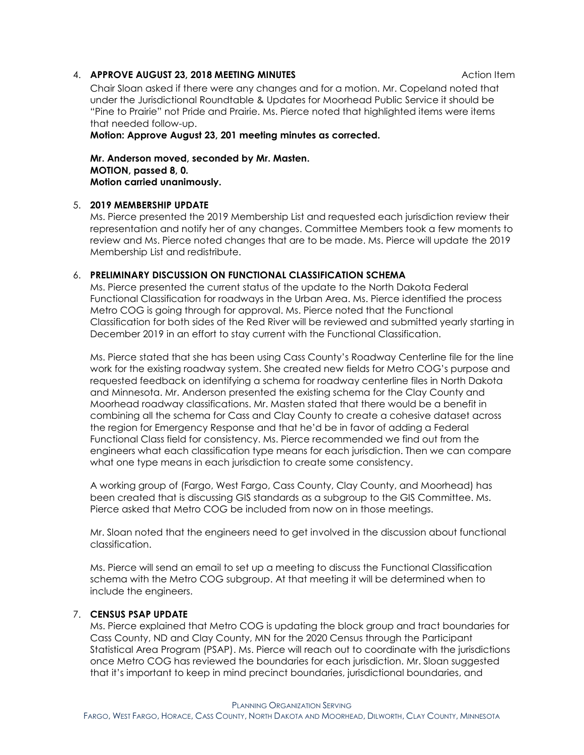#### 4. **APPROVE AUGUST 23, 2018 MEETING MINUTES ACTION CONTRACT ACTION ITEM**

Chair Sloan asked if there were any changes and for a motion. Mr. Copeland noted that under the Jurisdictional Roundtable & Updates for Moorhead Public Service it should be "Pine to Prairie" not Pride and Prairie. Ms. Pierce noted that highlighted items were items that needed follow-up.

**Motion: Approve August 23, 201 meeting minutes as corrected.**

**Mr. Anderson moved, seconded by Mr. Masten. MOTION, passed 8, 0. Motion carried unanimously.**

#### 5. **2019 MEMBERSHIP UPDATE**

Ms. Pierce presented the 2019 Membership List and requested each jurisdiction review their representation and notify her of any changes. Committee Members took a few moments to review and Ms. Pierce noted changes that are to be made. Ms. Pierce will update the 2019 Membership List and redistribute.

### 6. **PRELIMINARY DISCUSSION ON FUNCTIONAL CLASSIFICATION SCHEMA**

Ms. Pierce presented the current status of the update to the North Dakota Federal Functional Classification for roadways in the Urban Area. Ms. Pierce identified the process Metro COG is going through for approval. Ms. Pierce noted that the Functional Classification for both sides of the Red River will be reviewed and submitted yearly starting in December 2019 in an effort to stay current with the Functional Classification.

Ms. Pierce stated that she has been using Cass County's Roadway Centerline file for the line work for the existing roadway system. She created new fields for Metro COG's purpose and requested feedback on identifying a schema for roadway centerline files in North Dakota and Minnesota. Mr. Anderson presented the existing schema for the Clay County and Moorhead roadway classifications. Mr. Masten stated that there would be a benefit in combining all the schema for Cass and Clay County to create a cohesive dataset across the region for Emergency Response and that he'd be in favor of adding a Federal Functional Class field for consistency. Ms. Pierce recommended we find out from the engineers what each classification type means for each jurisdiction. Then we can compare what one type means in each jurisdiction to create some consistency.

A working group of (Fargo, West Fargo, Cass County, Clay County, and Moorhead) has been created that is discussing GIS standards as a subgroup to the GIS Committee. Ms. Pierce asked that Metro COG be included from now on in those meetings.

Mr. Sloan noted that the engineers need to get involved in the discussion about functional classification.

Ms. Pierce will send an email to set up a meeting to discuss the Functional Classification schema with the Metro COG subgroup. At that meeting it will be determined when to include the engineers.

#### 7. **CENSUS PSAP UPDATE**

Ms. Pierce explained that Metro COG is updating the block group and tract boundaries for Cass County, ND and Clay County, MN for the 2020 Census through the Participant Statistical Area Program (PSAP). Ms. Pierce will reach out to coordinate with the jurisdictions once Metro COG has reviewed the boundaries for each jurisdiction. Mr. Sloan suggested that it's important to keep in mind precinct boundaries, jurisdictional boundaries, and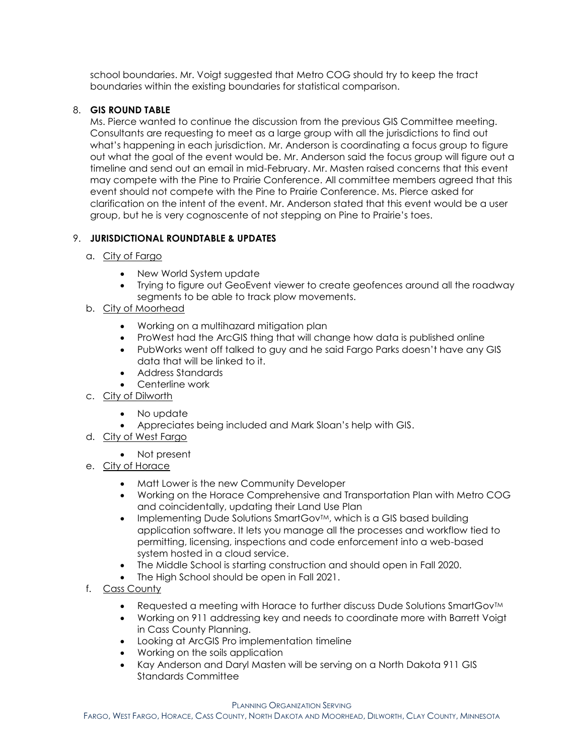school boundaries. Mr. Voigt suggested that Metro COG should try to keep the tract boundaries within the existing boundaries for statistical comparison.

## 8. **GIS ROUND TABLE**

Ms. Pierce wanted to continue the discussion from the previous GIS Committee meeting. Consultants are requesting to meet as a large group with all the jurisdictions to find out what's happening in each jurisdiction. Mr. Anderson is coordinating a focus group to figure out what the goal of the event would be. Mr. Anderson said the focus group will figure out a timeline and send out an email in mid-February. Mr. Masten raised concerns that this event may compete with the Pine to Prairie Conference. All committee members agreed that this event should not compete with the Pine to Prairie Conference. Ms. Pierce asked for clarification on the intent of the event. Mr. Anderson stated that this event would be a user group, but he is very cognoscente of not stepping on Pine to Prairie's toes.

## 9. **JURISDICTIONAL ROUNDTABLE & UPDATES**

- a. City of Fargo
	- New World System update
	- Trying to figure out GeoEvent viewer to create geofences around all the roadway segments to be able to track plow movements.
- b. City of Moorhead
	- Working on a multihazard mitigation plan
	- ProWest had the ArcGIS thing that will change how data is published online
	- PubWorks went off talked to guy and he said Fargo Parks doesn't have any GIS data that will be linked to it.
	- Address Standards
	- Centerline work
- c. City of Dilworth
	- No update
	- Appreciates being included and Mark Sloan's help with GIS.
- d. City of West Fargo
	- Not present
- e. City of Horace
	- Matt Lower is the new Community Developer
	- Working on the Horace Comprehensive and Transportation Plan with Metro COG and coincidentally, updating their Land Use Plan
	- Implementing Dude Solutions SmartGov<sup>TM</sup>, which is a GIS based building application software. It lets you manage all the processes and workflow tied to permitting, licensing, inspections and code enforcement into a web-based system hosted in a cloud service.
	- The Middle School is starting construction and should open in Fall 2020.
	- The High School should be open in Fall 2021.
- f. Cass County
	- Requested a meeting with Horace to further discuss Dude Solutions SmartGov™
	- Working on 911 addressing key and needs to coordinate more with Barrett Voigt in Cass County Planning.
	- Looking at ArcGIS Pro implementation timeline
	- Working on the soils application
	- Kay Anderson and Daryl Masten will be serving on a North Dakota 911 GIS Standards Committee